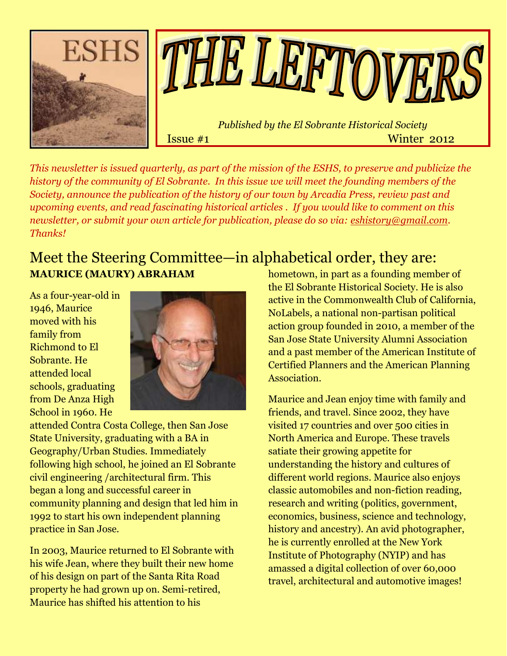

*This newsletter is issued quarterly, as part of the mission of the ESHS, to preserve and publicize the history of the community of El Sobrante. In this issue we will meet the founding members of the Society, announce the publication of the history of our town by Arcadia Press, review past and upcoming events, and read fascinating historical articles . If you would like to comment on this newsletter, or submit your own article for publication, please do so via: [eshistory@gmail.com.](mailto:eshistory@gmail.com) Thanks!*

# Meet the Steering Committee—in alphabetical order, they are: **MAURICE (MAURY) ABRAHAM**

As a four-year-old in 1946, Maurice moved with his family from Richmond to El Sobrante. He attended local schools, graduating from De Anza High School in 1960. He



attended Contra Costa College, then San Jose State University, graduating with a BA in Geography/Urban Studies. Immediately following high school, he joined an El Sobrante civil engineering /architectural firm. This began a long and successful career in community planning and design that led him in 1992 to start his own independent planning practice in San Jose.

In 2003, Maurice returned to El Sobrante with his wife Jean, where they built their new home of his design on part of the Santa Rita Road property he had grown up on. Semi-retired, Maurice has shifted his attention to his

hometown, in part as a founding member of the El Sobrante Historical Society. He is also active in the Commonwealth Club of California, NoLabels, a national non-partisan political action group founded in 2010, a member of the San Jose State University Alumni Association and a past member of the American Institute of Certified Planners and the American Planning Association.

Maurice and Jean enjoy time with family and friends, and travel. Since 2002, they have visited 17 countries and over 500 cities in North America and Europe. These travels satiate their growing appetite for understanding the history and cultures of different world regions. Maurice also enjoys classic automobiles and non-fiction reading, research and writing (politics, government, economics, business, science and technology, history and ancestry). An avid photographer, he is currently enrolled at the New York Institute of Photography (NYIP) and has amassed a digital collection of over 60,000 travel, architectural and automotive images!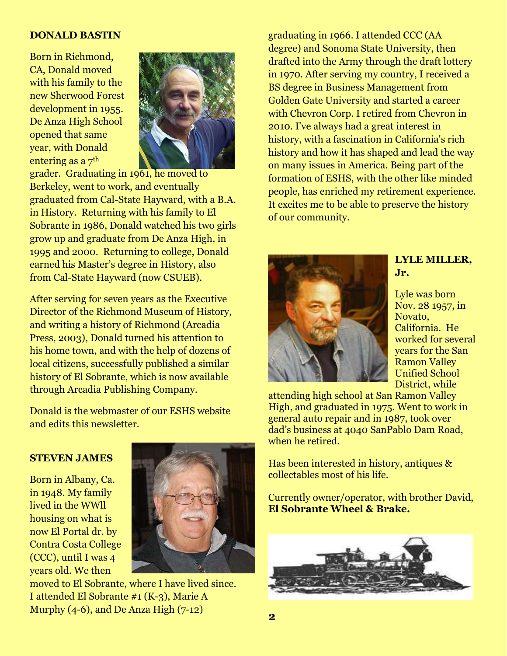#### **DONALD BASTIN**

Born in Richmond, CA, Donald moved with his family to the new Sherwood Forest development in 1955. De Anza High School opened that same year, with Donald entering as a 7th



grader. Graduating in 1961, he moved to Berkeley, went to work, and eventually graduated from Cal-State Hayward, with a B.A. in History. Returning with his family to El Sobrante in 1986, Donald watched his two girls grow up and graduate from De Anza High, in 1995 and 2000. Returning to college, Donald earned his Master"s degree in History, also from Cal-State Hayward (now CSUEB).

After serving for seven years as the Executive Director of the Richmond Museum of History, and writing a history of Richmond (Arcadia Press, 2003), Donald turned his attention to his home town, and with the help of dozens of local citizens, successfully published a similar history of El Sobrante, which is now available through Arcadia Publishing Company.

Donald is the webmaster of our ESHS website and edits this newsletter.

#### **STEVEN JAMES**

Born in Albany, Ca. in 1948. My family lived in the WWll housing on what is now El Portal dr. by Contra Costa College (CCC), until I was 4 years old. We then



moved to El Sobrante, where I have lived since. I attended El Sobrante #1 (K-3), Marie A Murphy  $(4-6)$ , and De Anza High  $(7-12)$ 

graduating in 1966. I attended CCC (AA degree) and Sonoma State University, then drafted into the Army through the draft lottery in 1970. After serving my country, I received a BS degree in Business Management from Golden Gate University and started a career with Chevron Corp. I retired from Chevron in 2010. I've always had a great interest in history, with a fascination in California's rich history and how it has shaped and lead the way on many issues in America. Being part of the formation of ESHS, with the other like minded people, has enriched my retirement experience. It excites me to be able to preserve the history of our community.



### **LYLE MILLER, Jr.**

Lyle was born Nov. 28 1957, in Novato, California. He worked for several years for the San Ramon Valley Unified School District, while

attending high school at San Ramon Valley High, and graduated in 1975. Went to work in general auto repair and in 1987, took over dad"s business at 4040 SanPablo Dam Road, when he retired.

Has been interested in history, antiques & collectables most of his life.

Currently owner/operator, with brother David, **El Sobrante Wheel & Brake.**

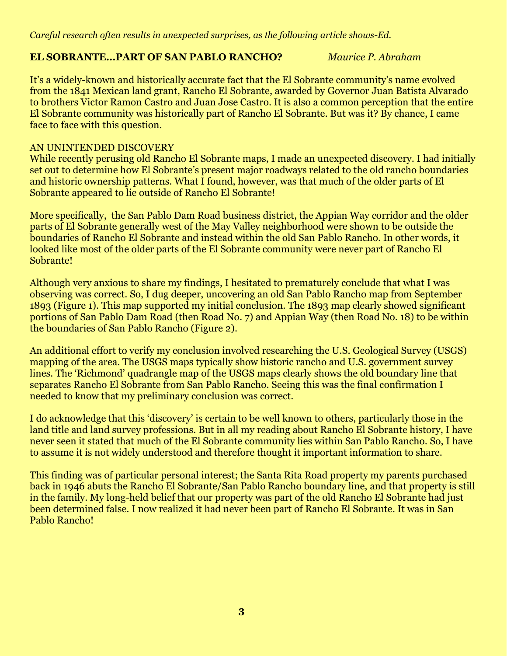*Careful research often results in unexpected surprises, as the following article shows-Ed.*

### **EL SOBRANTE…PART OF SAN PABLO RANCHO?** *Maurice P. Abraham*

It's a widely-known and historically accurate fact that the El Sobrante community's name evolved from the 1841 Mexican land grant, Rancho El Sobrante, awarded by Governor Juan Batista Alvarado to brothers Victor Ramon Castro and Juan Jose Castro. It is also a common perception that the entire El Sobrante community was historically part of Rancho El Sobrante. But was it? By chance, I came face to face with this question.

### AN UNINTENDED DISCOVERY

While recently perusing old Rancho El Sobrante maps, I made an unexpected discovery. I had initially set out to determine how El Sobrante's present major roadways related to the old rancho boundaries and historic ownership patterns. What I found, however, was that much of the older parts of El Sobrante appeared to lie outside of Rancho El Sobrante!

More specifically, the San Pablo Dam Road business district, the Appian Way corridor and the older parts of El Sobrante generally west of the May Valley neighborhood were shown to be outside the boundaries of Rancho El Sobrante and instead within the old San Pablo Rancho. In other words, it looked like most of the older parts of the El Sobrante community were never part of Rancho El Sobrante!

Although very anxious to share my findings, I hesitated to prematurely conclude that what I was observing was correct. So, I dug deeper, uncovering an old San Pablo Rancho map from September 1893 (Figure 1). This map supported my initial conclusion. The 1893 map clearly showed significant portions of San Pablo Dam Road (then Road No. 7) and Appian Way (then Road No. 18) to be within the boundaries of San Pablo Rancho (Figure 2).

An additional effort to verify my conclusion involved researching the U.S. Geological Survey (USGS) mapping of the area. The USGS maps typically show historic rancho and U.S. government survey lines. The "Richmond" quadrangle map of the USGS maps clearly shows the old boundary line that separates Rancho El Sobrante from San Pablo Rancho. Seeing this was the final confirmation I needed to know that my preliminary conclusion was correct.

I do acknowledge that this "discovery" is certain to be well known to others, particularly those in the land title and land survey professions. But in all my reading about Rancho El Sobrante history, I have never seen it stated that much of the El Sobrante community lies within San Pablo Rancho. So, I have to assume it is not widely understood and therefore thought it important information to share.

This finding was of particular personal interest; the Santa Rita Road property my parents purchased back in 1946 abuts the Rancho El Sobrante/San Pablo Rancho boundary line, and that property is still in the family. My long-held belief that our property was part of the old Rancho El Sobrante had just been determined false. I now realized it had never been part of Rancho El Sobrante. It was in San Pablo Rancho!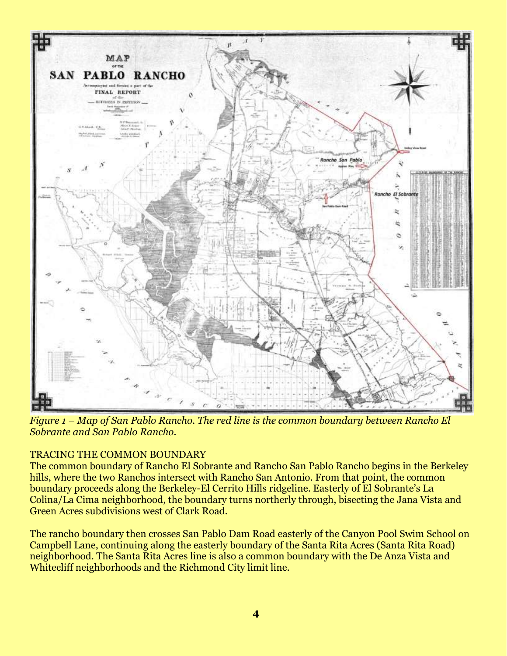

*Figure 1 – Map of San Pablo Rancho. The red line is the common boundary between Rancho El Sobrante and San Pablo Rancho.*

## TRACING THE COMMON BOUNDARY

The common boundary of Rancho El Sobrante and Rancho San Pablo Rancho begins in the Berkeley hills, where the two Ranchos intersect with Rancho San Antonio. From that point, the common boundary proceeds along the Berkeley-El Cerrito Hills ridgeline. Easterly of El Sobrante's La Colina/La Cima neighborhood, the boundary turns northerly through, bisecting the Jana Vista and Green Acres subdivisions west of Clark Road.

The rancho boundary then crosses San Pablo Dam Road easterly of the Canyon Pool Swim School on Campbell Lane, continuing along the easterly boundary of the Santa Rita Acres (Santa Rita Road) neighborhood. The Santa Rita Acres line is also a common boundary with the De Anza Vista and Whitecliff neighborhoods and the Richmond City limit line.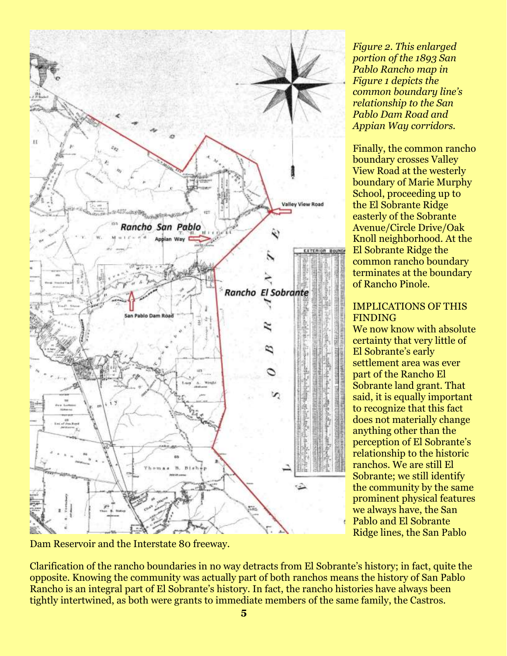

*Figure 2. This enlarged portion of the 1893 San Pablo Rancho map in Figure 1 depicts the common boundary line's relationship to the San Pablo Dam Road and Appian Way corridors.*

Finally, the common rancho boundary crosses Valley View Road at the westerly boundary of Marie Murphy School, proceeding up to the El Sobrante Ridge easterly of the Sobrante Avenue/Circle Drive/Oak Knoll neighborhood. At the El Sobrante Ridge the common rancho boundary terminates at the boundary of Rancho Pinole.

#### IMPLICATIONS OF THIS FINDING

We now know with absolute certainty that very little of El Sobrante's early settlement area was ever part of the Rancho El Sobrante land grant. That said, it is equally important to recognize that this fact does not materially change anything other than the perception of El Sobrante's relationship to the historic ranchos. We are still El Sobrante; we still identify the community by the same prominent physical features we always have, the San Pablo and El Sobrante Ridge lines, the San Pablo

Dam Reservoir and the Interstate 80 freeway.

Clarification of the rancho boundaries in no way detracts from El Sobrante"s history; in fact, quite the opposite. Knowing the community was actually part of both ranchos means the history of San Pablo Rancho is an integral part of El Sobrante's history. In fact, the rancho histories have always been tightly intertwined, as both were grants to immediate members of the same family, the Castros.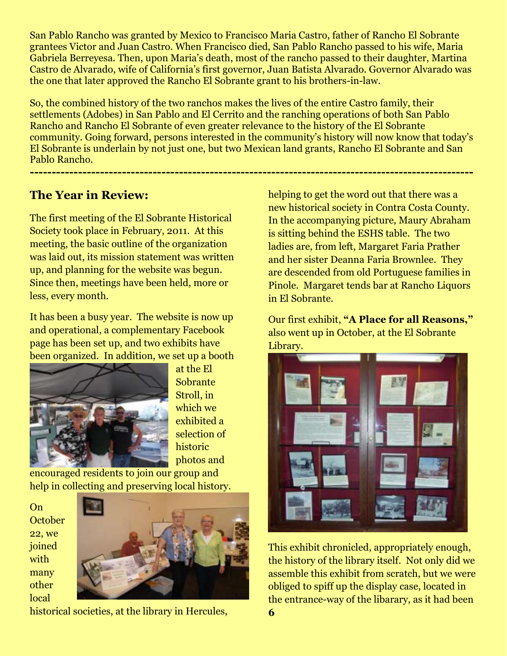San Pablo Rancho was granted by Mexico to Francisco Maria Castro, father of Rancho El Sobrante grantees Victor and Juan Castro. When Francisco died, San Pablo Rancho passed to his wife, Maria Gabriela Berreyesa. Then, upon Maria's death, most of the rancho passed to their daughter, Martina Castro de Alvarado, wife of California's first governor, Juan Batista Alvarado. Governor Alvarado was the one that later approved the Rancho El Sobrante grant to his brothers-in-law.

So, the combined history of the two ranchos makes the lives of the entire Castro family, their settlements (Adobes) in San Pablo and El Cerrito and the ranching operations of both San Pablo Rancho and Rancho El Sobrante of even greater relevance to the history of the El Sobrante community. Going forward, persons interested in the community's history will now know that today's El Sobrante is underlain by not just one, but two Mexican land grants, Rancho El Sobrante and San Pablo Rancho.

**-----------------------------------------------------------------------------------------------------**

# **The Year in Review:**

The first meeting of the El Sobrante Historical Society took place in February, 2011. At this meeting, the basic outline of the organization was laid out, its mission statement was written up, and planning for the website was begun. Since then, meetings have been held, more or less, every month.

It has been a busy year. The website is now up and operational, a complementary Facebook page has been set up, and two exhibits have been organized. In addition, we set up a booth



at the El Sobrante Stroll, in which we exhibited a selection of historic photos and

encouraged residents to join our group and help in collecting and preserving local history.

On **October** 22, we joined with many other local



historical societies, at the library in Hercules,

helping to get the word out that there was a new historical society in Contra Costa County. In the accompanying picture, Maury Abraham is sitting behind the ESHS table. The two ladies are, from left, Margaret Faria Prather and her sister Deanna Faria Brownlee. They are descended from old Portuguese families in Pinole. Margaret tends bar at Rancho Liquors in El Sobrante.

Our first exhibit, **"A Place for all Reasons,"** also went up in October, at the El Sobrante Library.



This exhibit chronicled, appropriately enough, the history of the library itself. Not only did we assemble this exhibit from scratch, but we were obliged to spiff up the display case, located in the entrance-way of the libarary, as it had been **6**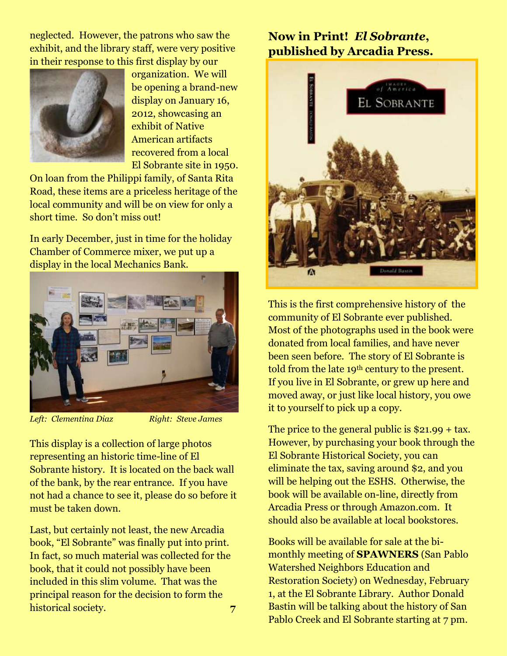neglected. However, the patrons who saw the exhibit, and the library staff, were very positive in their response to this first display by our



organization. We will be opening a brand-new display on January 16, 2012, showcasing an exhibit of Native American artifacts recovered from a local El Sobrante site in 1950.

On loan from the Philippi family, of Santa Rita Road, these items are a priceless heritage of the local community and will be on view for only a short time. So don"t miss out!

In early December, just in time for the holiday Chamber of Commerce mixer, we put up a display in the local Mechanics Bank.



*Left: Clementina Diaz Right: Steve James*

This display is a collection of large photos representing an historic time-line of El Sobrante history. It is located on the back wall of the bank, by the rear entrance. If you have not had a chance to see it, please do so before it must be taken down.

Last, but certainly not least, the new Arcadia book, "El Sobrante" was finally put into print. In fact, so much material was collected for the book, that it could not possibly have been included in this slim volume. That was the principal reason for the decision to form the historical society. **7** 

# **Now in Print!** *El Sobrante***, published by Arcadia Press.**



This is the first comprehensive history of the community of El Sobrante ever published. Most of the photographs used in the book were donated from local families, and have never been seen before. The story of El Sobrante is told from the late 19<sup>th</sup> century to the present. If you live in El Sobrante, or grew up here and moved away, or just like local history, you owe it to yourself to pick up a copy.

The price to the general public is \$21.99 + tax. However, by purchasing your book through the El Sobrante Historical Society, you can eliminate the tax, saving around \$2, and you will be helping out the ESHS. Otherwise, the book will be available on-line, directly from Arcadia Press or through Amazon.com. It should also be available at local bookstores.

Books will be available for sale at the bimonthly meeting of **SPAWNERS** (San Pablo Watershed Neighbors Education and Restoration Society) on Wednesday, February 1, at the El Sobrante Library. Author Donald Bastin will be talking about the history of San Pablo Creek and El Sobrante starting at 7 pm.